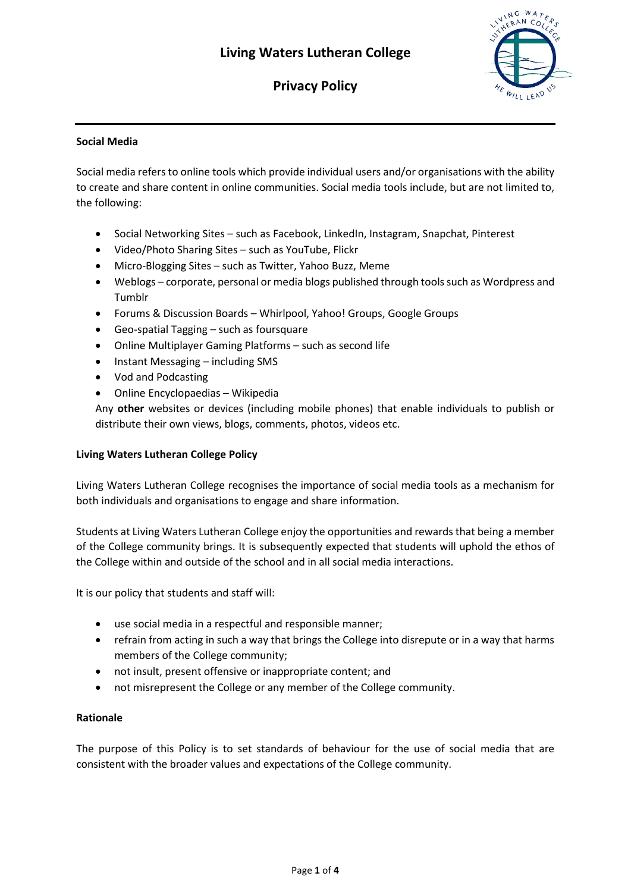# **Privacy Policy**



## **Social Media**

Social media refers to online tools which provide individual users and/or organisations with the ability to create and share content in online communities. Social media tools include, but are not limited to, the following:

- Social Networking Sites such as Facebook, LinkedIn, Instagram, Snapchat, Pinterest
- Video/Photo Sharing Sites such as YouTube, Flickr
- Micro-Blogging Sites such as Twitter, Yahoo Buzz, Meme
- Weblogs corporate, personal or media blogs published through tools such as Wordpress and Tumblr
- Forums & Discussion Boards Whirlpool, Yahoo! Groups, Google Groups
- Geo-spatial Tagging such as foursquare
- Online Multiplayer Gaming Platforms such as second life
- Instant Messaging including SMS
- Vod and Podcasting
- Online Encyclopaedias Wikipedia

Any **other** websites or devices (including mobile phones) that enable individuals to publish or distribute their own views, blogs, comments, photos, videos etc.

## **Living Waters Lutheran College Policy**

Living Waters Lutheran College recognises the importance of social media tools as a mechanism for both individuals and organisations to engage and share information.

Students at Living Waters Lutheran College enjoy the opportunities and rewards that being a member of the College community brings. It is subsequently expected that students will uphold the ethos of the College within and outside of the school and in all social media interactions.

It is our policy that students and staff will:

- use social media in a respectful and responsible manner;
- refrain from acting in such a way that brings the College into disrepute or in a way that harms members of the College community;
- not insult, present offensive or inappropriate content; and
- not misrepresent the College or any member of the College community.

## **Rationale**

The purpose of this Policy is to set standards of behaviour for the use of social media that are consistent with the broader values and expectations of the College community.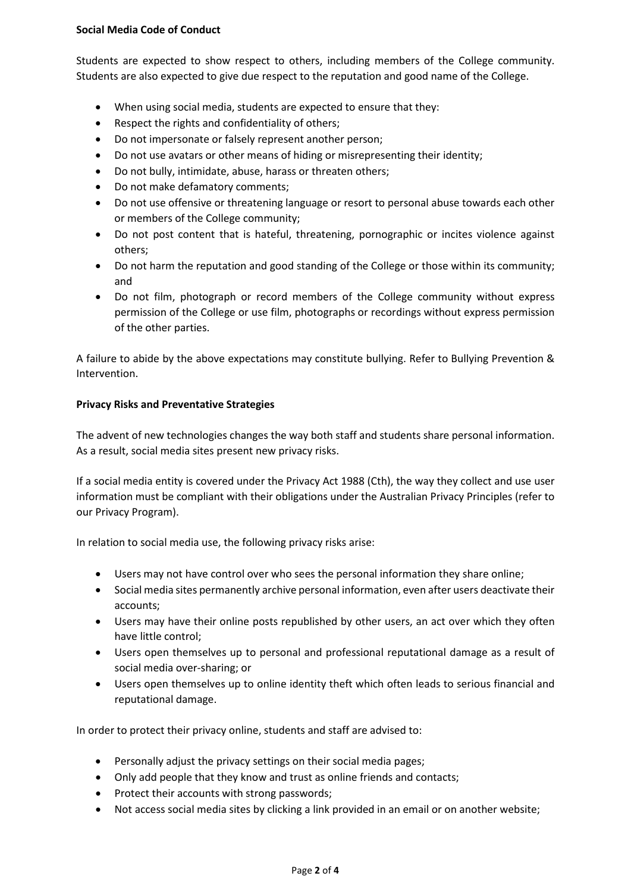## **Social Media Code of Conduct**

Students are expected to show respect to others, including members of the College community. Students are also expected to give due respect to the reputation and good name of the College.

- When using social media, students are expected to ensure that they:
- Respect the rights and confidentiality of others;
- Do not impersonate or falsely represent another person;
- Do not use avatars or other means of hiding or misrepresenting their identity;
- Do not bully, intimidate, abuse, harass or threaten others;
- Do not make defamatory comments;
- Do not use offensive or threatening language or resort to personal abuse towards each other or members of the College community;
- Do not post content that is hateful, threatening, pornographic or incites violence against others;
- Do not harm the reputation and good standing of the College or those within its community; and
- Do not film, photograph or record members of the College community without express permission of the College or use film, photographs or recordings without express permission of the other parties.

A failure to abide by the above expectations may constitute bullying. Refer to Bullying Prevention & Intervention.

## **Privacy Risks and Preventative Strategies**

The advent of new technologies changes the way both staff and students share personal information. As a result, social media sites present new privacy risks.

If a social media entity is covered under the Privacy Act 1988 (Cth), the way they collect and use user information must be compliant with their obligations under the Australian Privacy Principles (refer to our Privacy Program).

In relation to social media use, the following privacy risks arise:

- Users may not have control over who sees the personal information they share online;
- Social media sites permanently archive personal information, even after users deactivate their accounts;
- Users may have their online posts republished by other users, an act over which they often have little control;
- Users open themselves up to personal and professional reputational damage as a result of social media over-sharing; or
- Users open themselves up to online identity theft which often leads to serious financial and reputational damage.

In order to protect their privacy online, students and staff are advised to:

- Personally adjust the privacy settings on their social media pages;
- Only add people that they know and trust as online friends and contacts;
- Protect their accounts with strong passwords;
- Not access social media sites by clicking a link provided in an email or on another website;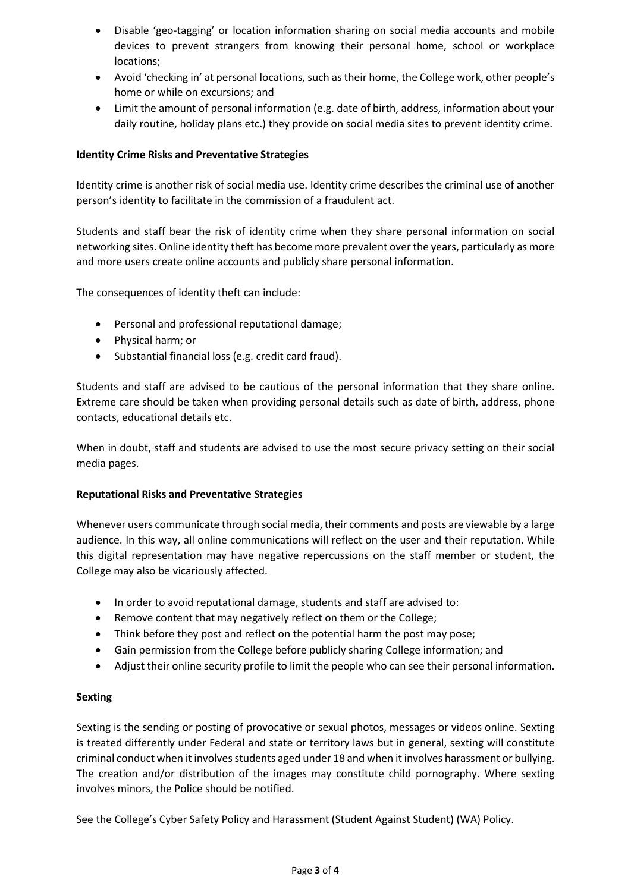- Disable 'geo-tagging' or location information sharing on social media accounts and mobile devices to prevent strangers from knowing their personal home, school or workplace locations;
- Avoid 'checking in' at personal locations, such as their home, the College work, other people's home or while on excursions; and
- Limit the amount of personal information (e.g. date of birth, address, information about your daily routine, holiday plans etc.) they provide on social media sites to prevent identity crime.

## **Identity Crime Risks and Preventative Strategies**

Identity crime is another risk of social media use. Identity crime describes the criminal use of another person's identity to facilitate in the commission of a fraudulent act.

Students and staff bear the risk of identity crime when they share personal information on social networking sites. Online identity theft has become more prevalent over the years, particularly as more and more users create online accounts and publicly share personal information.

The consequences of identity theft can include:

- Personal and professional reputational damage;
- Physical harm; or
- Substantial financial loss (e.g. credit card fraud).

Students and staff are advised to be cautious of the personal information that they share online. Extreme care should be taken when providing personal details such as date of birth, address, phone contacts, educational details etc.

When in doubt, staff and students are advised to use the most secure privacy setting on their social media pages.

#### **Reputational Risks and Preventative Strategies**

Whenever users communicate through social media, their comments and posts are viewable by a large audience. In this way, all online communications will reflect on the user and their reputation. While this digital representation may have negative repercussions on the staff member or student, the College may also be vicariously affected.

- In order to avoid reputational damage, students and staff are advised to:
- Remove content that may negatively reflect on them or the College;
- Think before they post and reflect on the potential harm the post may pose;
- Gain permission from the College before publicly sharing College information; and
- Adjust their online security profile to limit the people who can see their personal information.

#### **Sexting**

Sexting is the sending or posting of provocative or sexual photos, messages or videos online. Sexting is treated differently under Federal and state or territory laws but in general, sexting will constitute criminal conduct when it involves students aged under 18 and when it involves harassment or bullying. The creation and/or distribution of the images may constitute child pornography. Where sexting involves minors, the Police should be notified.

See the College's Cyber Safety Policy and Harassment (Student Against Student) (WA) Policy.